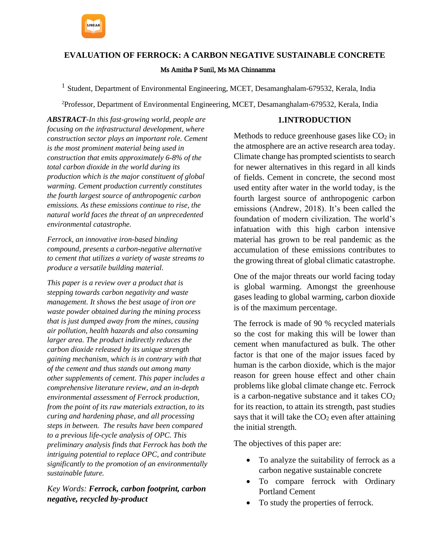**EVALUATION OF FERROCK: A CARBON NEGATIVE SUSTAINABLE CONCRETE** Ms Amitha P Sunil, Ms MA Chinnamma

<sup>1</sup> Student, Department of Environmental Engineering, MCET, Desamanghalam-679532, Kerala, India

<sup>2</sup>Professor, Department of Environmental Engineering, MCET, Desamanghalam-679532, Kerala, India

*ABSTRACT-In this fast-growing world, people are focusing on the infrastructural development, where construction sector plays an important role. Cement is the most prominent material being used in construction that emits approximately 6-8% of the total carbon dioxide in the world during its production which is the major constituent of global warming. Cement production currently constitutes the fourth largest source of anthropogenic carbon emissions. As these emissions continue to rise, the natural world faces the threat of an unprecedented environmental catastrophe.* 

*Ferrock, an innovative iron-based binding compound, presents a carbon-negative alternative to cement that utilizes a variety of waste streams to produce a versatile building material.* 

*This paper is a review over a product that is stepping towards carbon negativity and waste management. It shows the best usage of iron ore waste powder obtained during the mining process that is just dumped away from the mines, causing air pollution, health hazards and also consuming larger area. The product indirectly reduces the carbon dioxide released by its unique strength gaining mechanism, which is in contrary with that of the cement and thus stands out among many other supplements of cement. This paper includes a comprehensive literature review, and an in-depth environmental assessment of Ferrock production, from the point of its raw materials extraction, to its curing and hardening phase, and all processing steps in between. The results have been compared to a previous life-cycle analysis of OPC. This preliminary analysis finds that Ferrock has both the intriguing potential to replace OPC, and contribute significantly to the promotion of an environmentally sustainable future.*

*Key Words: Ferrock, carbon footprint, carbon negative, recycled by-product*

#### **1.INTRODUCTION**

Methods to reduce greenhouse gases like  $CO<sub>2</sub>$  in the atmosphere are an active research area today. Climate change has prompted scientists to search for newer alternatives in this regard in all kinds of fields. Cement in concrete, the second most used entity after water in the world today, is the fourth largest source of anthropogenic carbon emissions (Andrew, 2018). It's been called the foundation of modern civilization. The world's infatuation with this high carbon intensive material has grown to be real pandemic as the accumulation of these emissions contributes to the growing threat of global climatic catastrophe.

One of the major threats our world facing today is global warming. Amongst the greenhouse gases leading to global warming, carbon dioxide is of the maximum percentage.

The ferrock is made of 90 % recycled materials so the cost for making this will be lower than cement when manufactured as bulk. The other factor is that one of the major issues faced by human is the carbon dioxide, which is the major reason for green house effect and other chain problems like global climate change etc. Ferrock is a carbon-negative substance and it takes  $CO<sub>2</sub>$ for its reaction, to attain its strength, past studies says that it will take the  $CO<sub>2</sub>$  even after attaining the initial strength.

The objectives of this paper are:

- To analyze the suitability of ferrock as a carbon negative sustainable concrete
- To compare ferrock with Ordinary Portland Cement
- To study the properties of ferrock.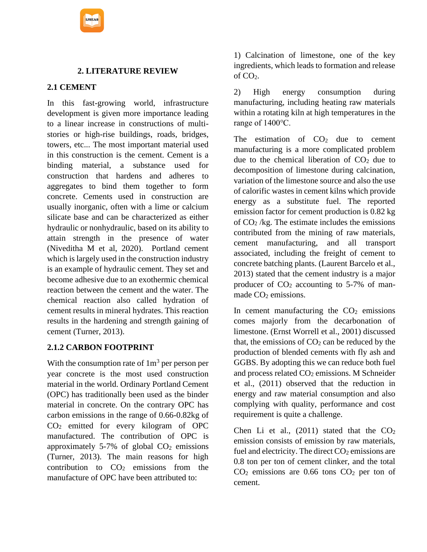

## **2. LITERATURE REVIEW**

### **2.1 CEMENT**

In this fast-growing world, infrastructure development is given more importance leading to a linear increase in constructions of multistories or high-rise buildings, roads, bridges, towers, etc... The most important material used in this construction is the cement. Cement is a binding material, a substance used for construction that hardens and adheres to aggregates to bind them together to form concrete. Cements used in construction are usually inorganic, often with a lime or calcium silicate base and can be characterized as either hydraulic or nonhydraulic, based on its ability to attain strength in the presence of water (Niveditha M et al, 2020). Portland cement which is largely used in the construction industry is an example of hydraulic cement. They set and become adhesive due to an exothermic chemical reaction between the cement and the water. The chemical reaction also called hydration of cement results in mineral hydrates. This reaction results in the hardening and strength gaining of cement (Turner, 2013).

### **2.1.2 CARBON FOOTPRINT**

With the consumption rate of  $1m<sup>3</sup>$  per person per year concrete is the most used construction material in the world. Ordinary Portland Cement (OPC) has traditionally been used as the binder material in concrete. On the contrary OPC has carbon emissions in the range of 0.66-0.82kg of CO<sup>2</sup> emitted for every kilogram of OPC manufactured. The contribution of OPC is approximately 5-7% of global  $CO<sub>2</sub>$  emissions (Turner, 2013). The main reasons for high contribution to  $CO<sub>2</sub>$  emissions from the manufacture of OPC have been attributed to:

1) Calcination of limestone, one of the key ingredients, which leads to formation and release of  $CO<sub>2</sub>$ .

2) High energy consumption during manufacturing, including heating raw materials within a rotating kiln at high temperatures in the range of 1400℃.

The estimation of  $CO<sub>2</sub>$  due to cement manufacturing is a more complicated problem due to the chemical liberation of  $CO<sub>2</sub>$  due to decomposition of limestone during calcination, variation of the limestone source and also the use of calorific wastes in cement kilns which provide energy as a substitute fuel. The reported emission factor for cement production is 0.82 kg of  $CO<sub>2</sub>$ /kg. The estimate includes the emissions contributed from the mining of raw materials, cement manufacturing, and all transport associated, including the freight of cement to concrete batching plants. (Laurent Barcelo et al., 2013) stated that the cement industry is a major producer of  $CO<sub>2</sub>$  accounting to 5-7% of manmade  $CO<sub>2</sub>$  emissions.

In cement manufacturing the  $CO<sub>2</sub>$  emissions comes majorly from the decarbonation of limestone. (Ernst Worrell et al., 2001) discussed that, the emissions of  $CO<sub>2</sub>$  can be reduced by the production of blended cements with fly ash and GGBS. By adopting this we can reduce both fuel and process related CO<sup>2</sup> emissions. M Schneider et al., (2011) observed that the reduction in energy and raw material consumption and also complying with quality, performance and cost requirement is quite a challenge.

Chen Li et al.,  $(2011)$  stated that the  $CO<sub>2</sub>$ emission consists of emission by raw materials, fuel and electricity. The direct  $CO<sub>2</sub>$  emissions are 0.8 ton per ton of cement clinker, and the total  $CO<sub>2</sub>$  emissions are 0.66 tons  $CO<sub>2</sub>$  per ton of cement.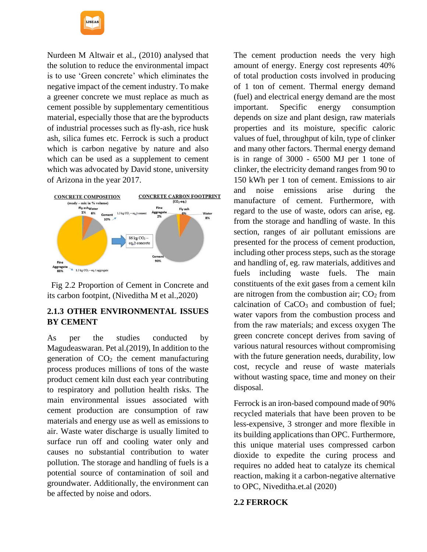Nurdeen M Altwair et al., (2010) analysed that the solution to reduce the environmental impact is to use 'Green concrete' which eliminates the negative impact of the cement industry. To make a greener concrete we must replace as much as cement possible by supplementary cementitious material, especially those that are the byproducts of industrial processes such as fly-ash, rice husk ash, silica fumes etc. Ferrock is such a product which is carbon negative by nature and also which can be used as a supplement to cement which was advocated by David stone, university of Arizona in the year 2017.



 Fig 2.2 Proportion of Cement in Concrete and its carbon footpint, (Niveditha M et al.,2020)

## **2.1.3 OTHER ENVIRONMENTAL ISSUES BY CEMENT**

As per the studies conducted by Magudeaswaran. Pet al.(2019), In addition to the generation of  $CO<sub>2</sub>$  the cement manufacturing process produces millions of tons of the waste product cement kiln dust each year contributing to respiratory and pollution health risks. The main environmental issues associated with cement production are consumption of raw materials and energy use as well as emissions to air. Waste water discharge is usually limited to surface run off and cooling water only and causes no substantial contribution to water pollution. The storage and handling of fuels is a potential source of contamination of soil and groundwater. Additionally, the environment can be affected by noise and odors.

The cement production needs the very high amount of energy. Energy cost represents 40% of total production costs involved in producing of 1 ton of cement. Thermal energy demand (fuel) and electrical energy demand are the most important. Specific energy consumption depends on size and plant design, raw materials properties and its moisture, specific caloric values of fuel, throughput of kiln, type of clinker and many other factors. Thermal energy demand is in range of 3000 - 6500 MJ per 1 tone of clinker, the electricity demand ranges from 90 to 150 kWh per 1 ton of cement. Emissions to air and noise emissions arise during the manufacture of cement. Furthermore, with regard to the use of waste, odors can arise, eg. from the storage and handling of waste. In this section, ranges of air pollutant emissions are presented for the process of cement production, including other process steps, such as the storage and handling of, eg. raw materials, additives and fuels including waste fuels. The main constituents of the exit gases from a cement kiln are nitrogen from the combustion air;  $CO<sub>2</sub>$  from calcination of CaCO<sub>3</sub> and combustion of fuel; water vapors from the combustion process and from the raw materials; and excess oxygen The green concrete concept derives from saving of various natural resources without compromising with the future generation needs, durability, low cost, recycle and reuse of waste materials without wasting space, time and money on their disposal.

Ferrock is an iron-based compound made of 90% recycled materials that have been proven to be less-expensive, 3 stronger and more flexible in its building applications than OPC. Furthermore, this unique material uses compressed carbon dioxide to expedite the curing process and requires no added heat to catalyze its chemical reaction, making it a carbon-negative alternative to OPC, Niveditha.et.al (2020)

### **2.2 FERROCK**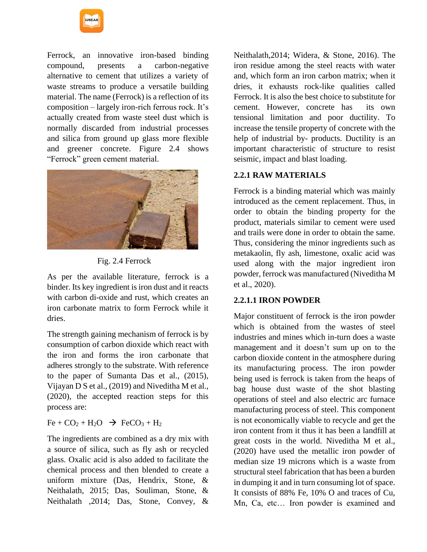

Ferrock, an innovative iron-based binding compound, presents a carbon-negative alternative to cement that utilizes a variety of waste streams to produce a versatile building material. The name (Ferrock) is a reflection of its composition – largely iron-rich ferrous rock. It's actually created from waste steel dust which is normally discarded from industrial processes and silica from ground up glass more flexible and greener concrete. Figure 2.4 shows "Ferrock" green cement material.



Fig. 2.4 Ferrock

As per the available literature, ferrock is a binder. Its key ingredient is iron dust and it reacts with carbon di-oxide and rust, which creates an iron carbonate matrix to form Ferrock while it dries.

The strength gaining mechanism of ferrock is by consumption of carbon dioxide which react with the iron and forms the iron carbonate that adheres strongly to the substrate. With reference to the paper of Sumanta Das et al., (2015), Vijayan D S et al., (2019) and Niveditha M et al., (2020), the accepted reaction steps for this process are:

 $Fe + CO<sub>2</sub> + H<sub>2</sub>O \rightarrow FeCO<sub>3</sub> + H<sub>2</sub>$ 

The ingredients are combined as a dry mix with a source of silica, such as fly ash or recycled glass. Oxalic acid is also added to facilitate the chemical process and then blended to create a uniform mixture (Das, Hendrix, Stone, & Neithalath, 2015; Das, Souliman, Stone, & Neithalath ,2014; Das, Stone, Convey, &

Neithalath,2014; Widera, & Stone, 2016). The iron residue among the steel reacts with water and, which form an iron carbon matrix; when it dries, it exhausts rock-like qualities called Ferrock. It is also the best choice to substitute for cement. However, concrete has its own tensional limitation and poor ductility. To increase the tensile property of concrete with the help of industrial by- products. Ductility is an important characteristic of structure to resist seismic, impact and blast loading.

# **2.2.1 RAW MATERIALS**

Ferrock is a binding material which was mainly introduced as the cement replacement. Thus, in order to obtain the binding property for the product, materials similar to cement were used and trails were done in order to obtain the same. Thus, considering the minor ingredients such as metakaolin, fly ash, limestone, oxalic acid was used along with the major ingredient iron powder, ferrock was manufactured (Niveditha M et al., 2020).

## **2.2.1.1 IRON POWDER**

Major constituent of ferrock is the iron powder which is obtained from the wastes of steel industries and mines which in-turn does a waste management and it doesn't sum up on to the carbon dioxide content in the atmosphere during its manufacturing process. The iron powder being used is ferrock is taken from the heaps of bag house dust waste of the shot blasting operations of steel and also electric arc furnace manufacturing process of steel. This component is not economically viable to recycle and get the iron content from it thus it has been a landfill at great costs in the world. Niveditha M et al., (2020) have used the metallic iron powder of median size 19 microns which is a waste from structural steel fabrication that has been a burden in dumping it and in turn consuming lot of space. It consists of 88% Fe, 10% O and traces of Cu, Mn, Ca, etc… Iron powder is examined and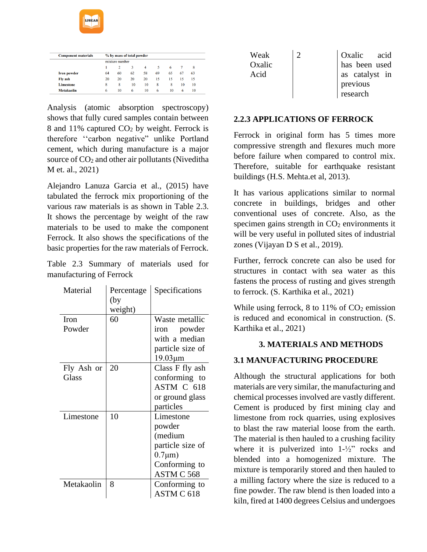

International Journal of Scientific Engineering and Applied Science (IJSEAS) – Volume-7, Issue-5, May 2021 ISSN: 2395-3470 www.ijseas.com

| <b>Component materials</b> | % by mass of total powder |                |    |                |    |    |    |    |
|----------------------------|---------------------------|----------------|----|----------------|----|----|----|----|
|                            |                           | mixture number |    |                |    |    |    |    |
|                            |                           | 2              | 3  | $\overline{4}$ | 5  | 6  |    | 8  |
| <b>Iron powder</b>         | 64                        | 60             | 62 | 58             | 69 | 65 | 67 | 63 |
| Fly ash                    | 20                        | 20             | 20 | 20             | 15 | 15 | 15 | 15 |
| Limestone                  | 8                         | 8              | 10 | 10             | 8  | 8  | 10 | 10 |
| <b>Metakaolin</b>          | 6                         | 10             | 6  | 10             | 6  | 10 | 6  | 10 |

Analysis (atomic absorption spectroscopy) shows that fully cured samples contain between 8 and 11% captured  $CO<sub>2</sub>$  by weight. Ferrock is therefore ''carbon negative" unlike Portland cement, which during manufacture is a major source of CO<sub>2</sub> and other air pollutants (Niveditha M et. al., 2021)

Alejandro Lanuza Garcia et al., (2015) have tabulated the ferrock mix proportioning of the various raw materials is as shown in Table 2.3. It shows the percentage by weight of the raw materials to be used to make the component Ferrock. It also shows the specifications of the basic properties for the raw materials of Ferrock.

Table 2.3 Summary of materials used for manufacturing of Ferrock

| Material              | Percentage<br>(by<br>weight) | Specifications                                                                                     |
|-----------------------|------------------------------|----------------------------------------------------------------------------------------------------|
| <b>Iron</b><br>Powder | 60                           | Waste metallic<br>iron powder<br>with a median<br>particle size of<br>$19.03 \mu m$                |
| Fly Ash or<br>Glass   | 20                           | Class F fly ash<br>conforming to<br>ASTM C 618<br>or ground glass<br>particles                     |
| Limestone             | 10                           | Limestone<br>powder<br>(medium<br>particle size of<br>$0.7 \mu m$ )<br>Conforming to<br>ASTM C 568 |
| Metakaolin            | 8                            | Conforming to<br>ASTM C 618                                                                        |

| Weak   | $\mathcal{D}$ | Oxalic acid    |
|--------|---------------|----------------|
| Oxalic |               | has been used  |
| Acid   |               | as catalyst in |
|        |               | previous       |
|        |               | research       |

#### **2.2.3 APPLICATIONS OF FERROCK**

Ferrock in original form has 5 times more compressive strength and flexures much more before failure when compared to control mix. Therefore, suitable for earthquake resistant buildings (H.S. Mehta.et al, 2013).

It has various applications similar to normal concrete in buildings, bridges and other conventional uses of concrete. Also, as the specimen gains strength in  $CO<sub>2</sub>$  environments it will be very useful in polluted sites of industrial zones (Vijayan D S et al., 2019).

Further, ferrock concrete can also be used for structures in contact with sea water as this fastens the process of rusting and gives strength to ferrock. (S. Karthika et al., 2021)

While using ferrock, 8 to  $11\%$  of  $CO<sub>2</sub>$  emission is reduced and economical in construction. (S. Karthika et al., 2021)

### **3. MATERIALS AND METHODS**

### **3.1 MANUFACTURING PROCEDURE**

Although the structural applications for both materials are very similar, the manufacturing and chemical processes involved are vastly different. Cement is produced by first mining clay and limestone from rock quarries, using explosives to blast the raw material loose from the earth. The material is then hauled to a crushing facility where it is pulverized into 1-½" rocks and blended into a homogenized mixture. The mixture is temporarily stored and then hauled to a milling factory where the size is reduced to a fine powder. The raw blend is then loaded into a kiln, fired at 1400 degrees Celsius and undergoes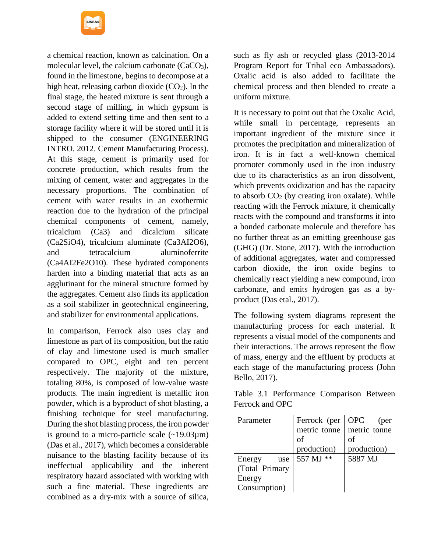a chemical reaction, known as calcination. On a molecular level, the calcium carbonate  $(CaCO<sub>3</sub>)$ , found in the limestone, begins to decompose at a high heat, releasing carbon dioxide  $(CO<sub>2</sub>)$ . In the final stage, the heated mixture is sent through a second stage of milling, in which gypsum is added to extend setting time and then sent to a storage facility where it will be stored until it is shipped to the consumer (ENGINEERING INTRO. 2012. Cement Manufacturing Process). At this stage, cement is primarily used for concrete production, which results from the mixing of cement, water and aggregates in the necessary proportions. The combination of cement with water results in an exothermic reaction due to the hydration of the principal chemical components of cement, namely, tricalcium (Ca3) and dicalcium silicate (Ca2SiO4), tricalcium aluminate (Ca3AI2O6), and tetracalcium aluminoferrite (Ca4AI2Fe2O10). These hydrated components harden into a binding material that acts as an agglutinant for the mineral structure formed by the aggregates. Cement also finds its application as a soil stabilizer in geotechnical engineering, and stabilizer for environmental applications.

In comparison, Ferrock also uses clay and limestone as part of its composition, but the ratio of clay and limestone used is much smaller compared to OPC, eight and ten percent respectively. The majority of the mixture, totaling 80%, is composed of low-value waste products. The main ingredient is metallic iron powder, which is a byproduct of shot blasting, a finishing technique for steel manufacturing. During the shot blasting process, the iron powder is ground to a micro-particle scale  $(-19.03\mu m)$ (Das et al., 2017), which becomes a considerable nuisance to the blasting facility because of its ineffectual applicability and the inherent respiratory hazard associated with working with such a fine material. These ingredients are combined as a dry-mix with a source of silica,

such as fly ash or recycled glass (2013-2014 Program Report for Tribal eco Ambassadors). Oxalic acid is also added to facilitate the chemical process and then blended to create a uniform mixture.

It is necessary to point out that the Oxalic Acid, while small in percentage, represents an important ingredient of the mixture since it promotes the precipitation and mineralization of iron. It is in fact a well-known chemical promoter commonly used in the iron industry due to its characteristics as an iron dissolvent, which prevents oxidization and has the capacity to absorb  $CO<sub>2</sub>$  (by creating iron oxalate). While reacting with the Ferrock mixture, it chemically reacts with the compound and transforms it into a bonded carbonate molecule and therefore has no further threat as an emitting greenhouse gas (GHG) (Dr. Stone, 2017). With the introduction of additional aggregates, water and compressed carbon dioxide, the iron oxide begins to chemically react yielding a new compound, iron carbonate, and emits hydrogen gas as a byproduct (Das etal., 2017).

The following system diagrams represent the manufacturing process for each material. It represents a visual model of the components and their interactions. The arrows represent the flow of mass, energy and the effluent by products at each stage of the manufacturing process (John Bello, 2017).

Table 3.1 Performance Comparison Between Ferrock and OPC

| Parameter      | Ferrock (per OPC | (per                      |
|----------------|------------------|---------------------------|
|                |                  | metric tonne metric tonne |
|                | οf               | of                        |
|                | production)      | production)               |
| Energy<br>use  | 557 MJ **        | 5887 MJ                   |
| (Total Primary |                  |                           |
| Energy         |                  |                           |
| Consumption)   |                  |                           |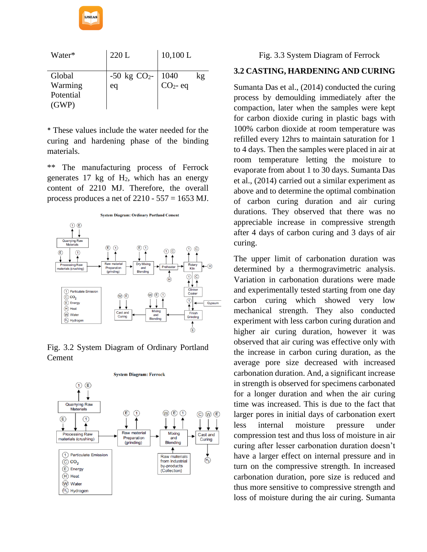

| Water*    | 220L           | 10,100 L   |    |
|-----------|----------------|------------|----|
| Global    | $-50$ kg $CO2$ | 1040       | kg |
| Warming   | eq             | $CO2$ - eq |    |
| Potential |                |            |    |
| (GWP)     |                |            |    |

\* These values include the water needed for the curing and hardening phase of the binding materials.

\*\* The manufacturing process of Ferrock generates  $17 \text{ kg}$  of  $H_2$ , which has an energy content of 2210 MJ. Therefore, the overall process produces a net of  $2210 - 557 = 1653$  MJ.







### Fig. 3.3 System Diagram of Ferrock

## **3.2 CASTING, HARDENING AND CURING**

Sumanta Das et al., (2014) conducted the curing process by demoulding immediately after the compaction, later when the samples were kept for carbon dioxide curing in plastic bags with 100% carbon dioxide at room temperature was refilled every 12hrs to maintain saturation for 1 to 4 days. Then the samples were placed in air at room temperature letting the moisture to evaporate from about 1 to 30 days. Sumanta Das et al., (2014) carried out a similar experiment as above and to determine the optimal combination of carbon curing duration and air curing durations. They observed that there was no appreciable increase in compressive strength after 4 days of carbon curing and 3 days of air curing.

The upper limit of carbonation duration was determined by a thermogravimetric analysis. Variation in carbonation durations were made and experimentally tested starting from one day carbon curing which showed very low mechanical strength. They also conducted experiment with less carbon curing duration and higher air curing duration, however it was observed that air curing was effective only with the increase in carbon curing duration, as the average pore size decreased with increased carbonation duration. And, a significant increase in strength is observed for specimens carbonated for a longer duration and when the air curing time was increased. This is due to the fact that larger pores in initial days of carbonation exert less internal moisture pressure under compression test and thus loss of moisture in air curing after lesser carbonation duration doesn't have a larger effect on internal pressure and in turn on the compressive strength. In increased carbonation duration, pore size is reduced and thus more sensitive to compressive strength and loss of moisture during the air curing. Sumanta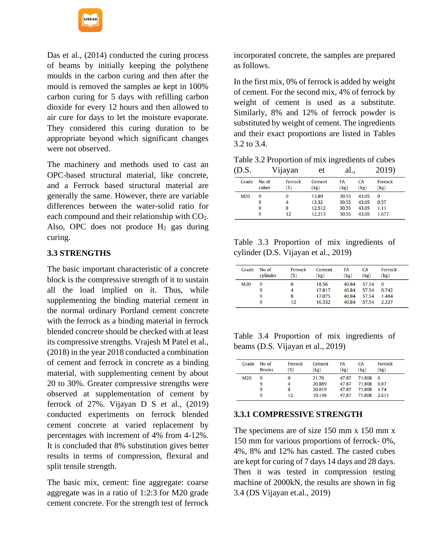

Das et al., (2014) conducted the curing process of beams by initially keeping the polythene moulds in the carbon curing and then after the mould is removed the samples ae kept in 100% carbon curing for 5 days with refilling carbon dioxide for every 12 hours and then allowed to air cure for days to let the moisture evaporate. They considered this curing duration to be appropriate beyond which significant changes were not observed.

The machinery and methods used to cast an OPC-based structural material, like concrete, and a Ferrock based structural material are generally the same. However, there are variable differences between the water-solid ratio for each compound and their relationship with CO<sub>2</sub>. Also, OPC does not produce  $H_2$  gas during curing.

### **3.3 STRENGTHS**

The basic important characteristic of a concrete block is the compressive strength of it to sustain all the load implied on it. Thus, while supplementing the binding material cement in the normal ordinary Portland cement concrete with the ferrock as a binding material in ferrock blended concrete should be checked with at least its compressive strengths. Vrajesh M Patel et al., (2018) in the year 2018 conducted a combination of cement and ferrock in concrete as a binding material, with supplementing cement by about 20 to 30%. Greater compressive strengths were observed at supplementation of cement by ferrock of 27%. Vijayan D S et al., (2019) conducted experiments on ferrock blended cement concrete at varied replacement by percentages with increment of 4% from 4-12%. It is concluded that 8% substitution gives better results in terms of compression, flexural and split tensile strength.

The basic mix, cement: fine aggregate: coarse aggregate was in a ratio of 1:2:3 for M20 grade cement concrete. For the strength test of ferrock incorporated concrete, the samples are prepared as follows.

In the first mix, 0% of ferrock is added by weight of cement. For the second mix, 4% of ferrock by weight of cement is used as a substitute. Similarly, 8% and 12% of ferrock powder is substituted by weight of cement. The ingredients and their exact proportions are listed in Tables 3.2 to 3.4.

Table 3.2 Proportion of mix ingredients of cubes

| (D.S. |                  | Vijayan           | et                                 | al.,                             |                                  | 2019)                             |  |
|-------|------------------|-------------------|------------------------------------|----------------------------------|----------------------------------|-----------------------------------|--|
| Grade | No of<br>cubes   | Ferrock<br>$(\%)$ | Cement<br>(kg)                     | FA<br>(kg)                       | <b>CA</b><br>(kg)                | Ferrock<br>(kg)                   |  |
| M20   | 9<br>9<br>9<br>9 | 4<br>8<br>12      | 13.89<br>13.32<br>12.512<br>12.213 | 30.55<br>30.55<br>30.55<br>30.55 | 43.05<br>43.05<br>43.05<br>43.05 | $\Omega$<br>0.57<br>1.11<br>1.677 |  |

Table 3.3 Proportion of mix ingredients of cylinder (D.S. Vijayan et al., 2019)

| Grade | No of<br>cylinder | Ferrock<br>(%) | Cement<br>(kg) | FA<br>(kg) | <b>CA</b><br>(kg) | Ferrock<br>(kg) |
|-------|-------------------|----------------|----------------|------------|-------------------|-----------------|
| M20   | 9                 |                | 18.56          | 40.84      | 57.54             | $\Omega$        |
|       | 9                 |                | 17.817         | 40.84      | 57.54             | 0.742           |
|       | 9                 | 8              | 17.075         | 40.84      | 57.54             | 1.484           |
|       | 9                 | 12             | 16.332         | 40.84      | 57.54             | 2.227           |

Table 3.4 Proportion of mix ingredients of beams (D.S. Vijayan et al., 2019)

| Grade           | No of<br><b>Beams</b> | Ferrock<br>$(\%)$ | Cement<br>(kg) | FA<br>(kg) | CA<br>(kg) | Ferrock<br>(kg) |
|-----------------|-----------------------|-------------------|----------------|------------|------------|-----------------|
| M <sub>20</sub> | 9                     | 0                 | 21.76          | 47.87      | 71.808     | $\mathbf{0}$    |
|                 | 9                     | 4                 | 20.889         | 47.87      | 71.808     | 0.87            |
|                 | 9                     | 8                 | 20.019         | 47.87      | 71.808     | 1.74            |
|                 | 9                     | 12                | 19.148         | 47.87      | 71.808     | 2.611           |

## **3.3.1 COMPRESSIVE STRENGTH**

The specimens are of size 150 mm x 150 mm x 150 mm for various proportions of ferrock- 0%, 4%, 8% and 12% has casted. The casted cubes are kept for curing of 7 days 14 days and 28 days. Then it was tested in compression testing machine of 2000kN, the results are shown in fig 3.4 (DS Vijayan et.al., 2019)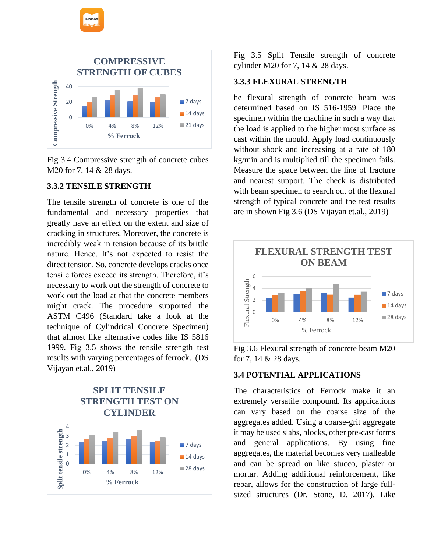

Fig 3.4 Compressive strength of concrete cubes M20 for 7, 14 & 28 days.

## **3.3.2 TENSILE STRENGTH**

The tensile strength of concrete is one of the fundamental and necessary properties that greatly have an effect on the extent and size of cracking in structures. Moreover, the concrete is incredibly weak in tension because of its brittle nature. Hence. It's not expected to resist the direct tension. So, concrete develops cracks once tensile forces exceed its strength. Therefore, it's necessary to work out the strength of concrete to work out the load at that the concrete members might crack. The procedure supported the ASTM C496 (Standard take a look at the technique of Cylindrical Concrete Specimen) that almost like alternative codes like IS 5816 1999. Fig 3.5 shows the tensile strength test results with varying percentages of ferrock. (DS Vijayan et.al., 2019)



Fig 3.5 Split Tensile strength of concrete cylinder M20 for 7, 14 & 28 days.

# **3.3.3 FLEXURAL STRENGTH**

he flexural strength of concrete beam was determined based on IS 516-1959. Place the specimen within the machine in such a way that the load is applied to the higher most surface as cast within the mould. Apply load continuously without shock and increasing at a rate of 180 kg/min and is multiplied till the specimen fails. Measure the space between the line of fracture and nearest support. The check is distributed with beam specimen to search out of the flexural strength of typical concrete and the test results are in shown Fig 3.6 (DS Vijayan et.al., 2019)



Fig 3.6 Flexural strength of concrete beam M20 for 7, 14 & 28 days.

# **3.4 POTENTIAL APPLICATIONS**

The characteristics of Ferrock make it an extremely versatile compound. Its applications can vary based on the coarse size of the aggregates added. Using a coarse-grit aggregate it may be used slabs, blocks, other pre-cast forms and general applications. By using fine aggregates, the material becomes very malleable and can be spread on like stucco, plaster or mortar. Adding additional reinforcement, like rebar, allows for the construction of large fullsized structures (Dr. Stone, D. 2017). Like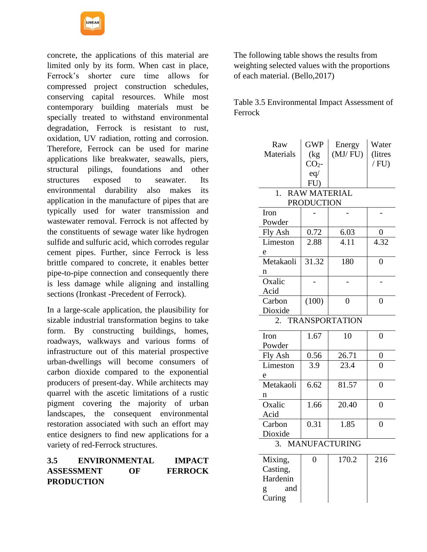

concrete, the applications of this material are limited only by its form. When cast in place, Ferrock's shorter cure time allows for compressed project construction schedules, conserving capital resources. While most contemporary building materials must be specially treated to withstand environmental degradation, Ferrock is resistant to rust, oxidation, UV radiation, rotting and corrosion. Therefore, Ferrock can be used for marine applications like breakwater, seawalls, piers, structural pilings, foundations and other structures exposed to seawater. Its environmental durability also makes its application in the manufacture of pipes that are typically used for water transmission and wastewater removal. Ferrock is not affected by the constituents of sewage water like hydrogen sulfide and sulfuric acid, which corrodes regular cement pipes. Further, since Ferrock is less brittle compared to concrete, it enables better pipe-to-pipe connection and consequently there is less damage while aligning and installing sections (Ironkast -Precedent of Ferrock).

In a large-scale application, the plausibility for sizable industrial transformation begins to take form. By constructing buildings, homes, roadways, walkways and various forms of infrastructure out of this material prospective urban-dwellings will become consumers of carbon dioxide compared to the exponential producers of present-day. While architects may quarrel with the ascetic limitations of a rustic pigment covering the majority of urban landscapes, the consequent environmental restoration associated with such an effort may entice designers to find new applications for a variety of red-Ferrock structures.

### **3.5 ENVIRONMENTAL IMPACT ASSESSMENT OF FERROCK PRODUCTION**

The following table shows the results from weighting selected values with the proportions of each material. (Bello,2017)

Table 3.5 Environmental Impact Assessment of Ferrock

| Raw                        | <b>GWP</b>          | Energy              | Water          |  |
|----------------------------|---------------------|---------------------|----------------|--|
| Materials                  | (kg)                | (MJ/FU)             | (litres        |  |
|                            | CO <sub>2</sub>     |                     | $/$ FU)        |  |
|                            | eq/                 |                     |                |  |
|                            | FU)                 |                     |                |  |
| $\overline{1}$ .           | <b>RAW MATERIAL</b> |                     |                |  |
|                            | <b>PRODUCTION</b>   |                     |                |  |
| Iron                       |                     |                     |                |  |
| Powder                     |                     |                     |                |  |
| Fly Ash                    | 0.72                | $\frac{6.03}{4.11}$ | 0              |  |
| Limeston                   | 2.88                |                     | 4.32           |  |
| e                          |                     |                     |                |  |
| Metakaoli                  | $\overline{31.32}$  | 180                 | $\overline{0}$ |  |
| n                          |                     |                     |                |  |
| Oxalic                     |                     |                     |                |  |
| Acid                       |                     |                     |                |  |
| Carbon                     | (100)               | $\overline{0}$      | $\theta$       |  |
| Dioxide                    |                     |                     |                |  |
|                            |                     | 2. TRANSPORTATION   |                |  |
| Iron                       | 1.67                | 10                  | $\overline{0}$ |  |
| Powder                     |                     |                     |                |  |
| Fly Ash                    | 0.56                | 26.71               | 0              |  |
| Limeston                   | 3.9                 | 23.4                | $\overline{0}$ |  |
| e                          |                     |                     |                |  |
| Metakaoli                  | 6.62                | 81.57               | $\overline{0}$ |  |
| n                          |                     |                     |                |  |
| Oxalic                     | 1.66                | 20.40               | $\overline{0}$ |  |
| Acid                       |                     |                     |                |  |
| Carbon                     | 0.31                | 1.85                | $\overline{0}$ |  |
| Dioxide                    |                     |                     |                |  |
| <b>MANUFACTURING</b><br>3. |                     |                     |                |  |
| Mixing,                    | $\overline{0}$      | 170.2               | 216            |  |
| Casting,                   |                     |                     |                |  |
| Hardenin                   |                     |                     |                |  |

g and Curing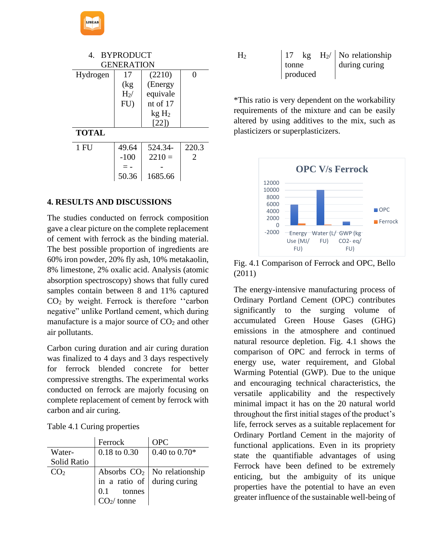| <b>BYPRODUCT</b><br>4. |                   |                  |                |  |
|------------------------|-------------------|------------------|----------------|--|
|                        | <b>GENERATION</b> |                  |                |  |
| Hydrogen               | 17                | (2210)           | ∩              |  |
|                        | (kg               | (Energy          |                |  |
|                        | $H2$ /            | equivale         |                |  |
|                        | FU)               | nt of $17$       |                |  |
|                        |                   | kgH <sub>2</sub> |                |  |
|                        |                   | [22]             |                |  |
| <b>TOTAL</b>           |                   |                  |                |  |
| 1 FU                   | 49.64             | 524.34-          | 220.3          |  |
|                        | $-100$            | $2210=$          | $\mathfrak{D}$ |  |
|                        |                   |                  |                |  |
|                        | 50.36             | 1685.66          |                |  |

### **4. RESULTS AND DISCUSSIONS**

**IJSEAS** 

The studies conducted on ferrock composition gave a clear picture on the complete replacement of cement with ferrock as the binding material. The best possible proportion of ingredients are 60% iron powder, 20% fly ash, 10% metakaolin, 8% limestone, 2% oxalic acid. Analysis (atomic absorption spectroscopy) shows that fully cured samples contain between 8 and 11% captured CO<sup>2</sup> by weight. Ferrock is therefore ''carbon negative" unlike Portland cement, which during manufacture is a major source of  $CO<sub>2</sub>$  and other air pollutants.

Carbon curing duration and air curing duration was finalized to 4 days and 3 days respectively for ferrock blended concrete for better compressive strengths. The experimental works conducted on ferrock are majorly focusing on complete replacement of cement by ferrock with carbon and air curing.

|  |  | Table 4.1 Curing properties |
|--|--|-----------------------------|
|--|--|-----------------------------|

|                    | Ferrock                                        | OPC                           |
|--------------------|------------------------------------------------|-------------------------------|
| Water-             | $0.18$ to $0.30$                               | 0.40 to $0.70*$               |
| <b>Solid Ratio</b> |                                                |                               |
| CO <sub>2</sub>    |                                                | Absorbs $CO2$ No relationship |
|                    | in a ratio of during curing                    |                               |
|                    | $0.1$ tonnes<br>CO <sub>2</sub> / tonne<br>0.1 |                               |
|                    |                                                |                               |

| $\rm{H}_{2}$ |       | kg       |  | $H_2$ / No relationship |
|--------------|-------|----------|--|-------------------------|
|              | tonne |          |  | during curing           |
|              |       | produced |  |                         |

\*This ratio is very dependent on the workability requirements of the mixture and can be easily altered by using additives to the mix, such as plasticizers or superplasticizers.



Fig. 4.1 Comparison of Ferrock and OPC, Bello (2011)

The energy-intensive manufacturing process of Ordinary Portland Cement (OPC) contributes significantly to the surging volume of accumulated Green House Gases (GHG) emissions in the atmosphere and continued natural resource depletion. Fig. 4.1 shows the comparison of OPC and ferrock in terms of energy use, water requirement, and Global Warming Potential (GWP). Due to the unique and encouraging technical characteristics, the versatile applicability and the respectively minimal impact it has on the 20 natural world throughout the first initial stages of the product's life, ferrock serves as a suitable replacement for Ordinary Portland Cement in the majority of functional applications. Even in its propriety state the quantifiable advantages of using Ferrock have been defined to be extremely enticing, but the ambiguity of its unique properties have the potential to have an even greater influence of the sustainable well-being of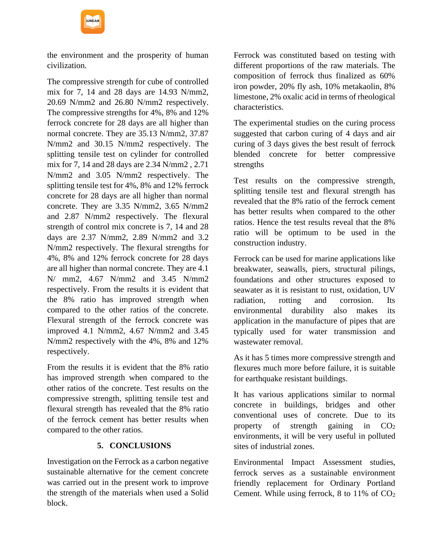the environment and the prosperity of human civilization.

The compressive strength for cube of controlled mix for 7, 14 and 28 days are 14.93 N/mm2, 20.69 N/mm2 and 26.80 N/mm2 respectively. The compressive strengths for 4%, 8% and 12% ferrock concrete for 28 days are all higher than normal concrete. They are 35.13 N/mm2, 37.87 N/mm2 and 30.15 N/mm2 respectively. The splitting tensile test on cylinder for controlled mix for 7, 14 and 28 days are 2.34 N/mm2 , 2.71 N/mm2 and 3.05 N/mm2 respectively. The splitting tensile test for 4%, 8% and 12% ferrock concrete for 28 days are all higher than normal concrete. They are 3.35 N/mm2, 3.65 N/mm2 and 2.87 N/mm2 respectively. The flexural strength of control mix concrete is 7, 14 and 28 days are 2.37 N/mm2, 2.89 N/mm2 and 3.2 N/mm2 respectively. The flexural strengths for 4%, 8% and 12% ferrock concrete for 28 days are all higher than normal concrete. They are 4.1 N/ mm2, 4.67 N/mm2 and 3.45 N/mm2 respectively. From the results it is evident that the 8% ratio has improved strength when compared to the other ratios of the concrete. Flexural strength of the ferrock concrete was improved 4.1 N/mm2, 4.67 N/mm2 and 3.45 N/mm2 respectively with the 4%, 8% and 12% respectively.

From the results it is evident that the 8% ratio has improved strength when compared to the other ratios of the concrete. Test results on the compressive strength, splitting tensile test and flexural strength has revealed that the 8% ratio of the ferrock cement has better results when compared to the other ratios.

## **5. CONCLUSIONS**

Investigation on the Ferrock as a carbon negative sustainable alternative for the cement concrete was carried out in the present work to improve the strength of the materials when used a Solid block.

Ferrock was constituted based on testing with different proportions of the raw materials. The composition of ferrock thus finalized as 60% iron powder, 20% fly ash, 10% metakaolin, 8% limestone, 2% oxalic acid in terms of rheological characteristics.

The experimental studies on the curing process suggested that carbon curing of 4 days and air curing of 3 days gives the best result of ferrock blended concrete for better compressive strengths

Test results on the compressive strength, splitting tensile test and flexural strength has revealed that the 8% ratio of the ferrock cement has better results when compared to the other ratios. Hence the test results reveal that the 8% ratio will be optimum to be used in the construction industry.

Ferrock can be used for marine applications like breakwater, seawalls, piers, structural pilings, foundations and other structures exposed to seawater as it is resistant to rust, oxidation, UV radiation, rotting and corrosion. Its environmental durability also makes its application in the manufacture of pipes that are typically used for water transmission and wastewater removal.

As it has 5 times more compressive strength and flexures much more before failure, it is suitable for earthquake resistant buildings.

It has various applications similar to normal concrete in buildings, bridges and other conventional uses of concrete. Due to its property of strength gaining in  $CO<sub>2</sub>$ environments, it will be very useful in polluted sites of industrial zones.

Environmental Impact Assessment studies, ferrock serves as a sustainable environment friendly replacement for Ordinary Portland Cement. While using ferrock, 8 to 11% of CO<sup>2</sup>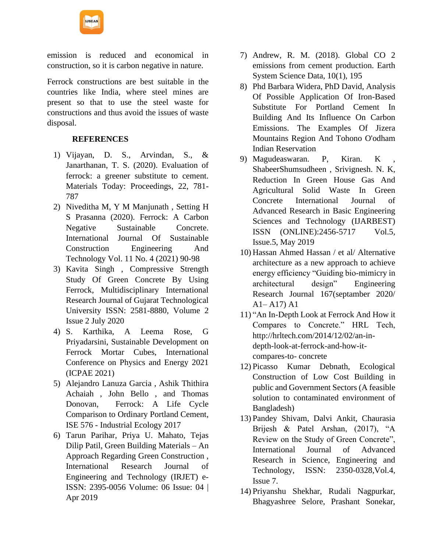

emission is reduced and economical in construction, so it is carbon negative in nature.

Ferrock constructions are best suitable in the countries like India, where steel mines are present so that to use the steel waste for constructions and thus avoid the issues of waste disposal.

### **REFERENCES**

- 1) Vijayan, D. S., Arvindan, S., & Janarthanan, T. S. (2020). Evaluation of ferrock: a greener substitute to cement. Materials Today: Proceedings, 22, 781- 787
- 2) Niveditha M, Y M Manjunath , Setting H S Prasanna (2020). Ferrock: A Carbon Negative Sustainable Concrete. International Journal Of Sustainable Construction Engineering And Technology Vol. 11 No. 4 (2021) 90-98
- 3) Kavita Singh , Compressive Strength Study Of Green Concrete By Using Ferrock, Multidisciplinary International Research Journal of Gujarat Technological University ISSN: 2581-8880, Volume 2 Issue 2 July 2020
- 4) S. Karthika, A Leema Rose, G Priyadarsini, Sustainable Development on Ferrock Mortar Cubes, International Conference on Physics and Energy 2021 (ICPAE 2021)
- 5) Alejandro Lanuza Garcia , Ashik Thithira Achaiah , John Bello , and Thomas Donovan, Ferrock: A Life Cycle Comparison to Ordinary Portland Cement, ISE 576 - Industrial Ecology 2017
- 6) Tarun Parihar, Priya U. Mahato, Tejas Dilip Patil, Green Building Materials – An Approach Regarding Green Construction , International Research Journal of Engineering and Technology (IRJET) e-ISSN: 2395-0056 Volume: 06 Issue: 04 | Apr 2019
- 7) Andrew, R. M. (2018). Global CO 2 emissions from cement production. Earth System Science Data, 10(1), 195
- 8) Phd Barbara Widera, PhD David, Analysis Of Possible Application Of Iron-Based Substitute For Portland Cement In Building And Its Influence On Carbon Emissions. The Examples Of Jizera Mountains Region And Tohono O'odham Indian Reservation
- 9) Magudeaswaran. P, Kiran. K , ShabeerShumsudheen , Srivignesh. N. K, Reduction In Green House Gas And Agricultural Solid Waste In Green Concrete International Journal of Advanced Research in Basic Engineering Sciences and Technology (IJARBEST) ISSN (ONLINE):2456-5717 Vol.5, Issue.5, May 2019
- 10) Hassan Ahmed Hassan / et al/ Alternative architecture as a new approach to achieve energy efficiency "Guiding bio-mimicry in architectural design" Engineering Research Journal 167(septamber 2020/ A1– A17) A1
- 11) "An In-Depth Look at Ferrock And How it Compares to Concrete." HRL Tech, http://hrltech.com/2014/12/02/an-indepth-look-at-ferrock-and-how-itcompares-to- concrete
- 12) Picasso Kumar Debnath, Ecological Construction of Low Cost Building in public and Government Sectors (A feasible solution to contaminated environment of Bangladesh)
- 13) Pandey Shivam, Dalvi Ankit, Chaurasia Brijesh & Patel Arshan, (2017), "A Review on the Study of Green Concrete", International Journal of Advanced Research in Science, Engineering and Technology, ISSN: 2350-0328,Vol.4, Issue 7.
- 14) Priyanshu Shekhar, Rudali Nagpurkar, Bhagyashree Selore, Prashant Sonekar,